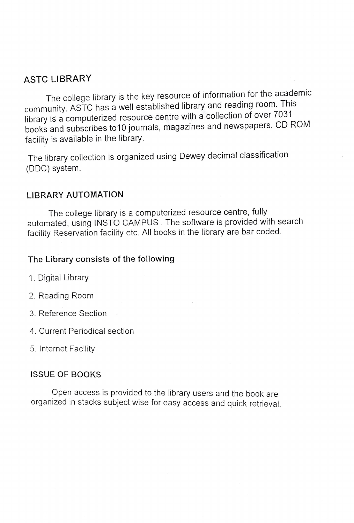## ASTC LIBRARY

The college library is the key resource of information for the academic community. ASTC has a well established library and reading room. This library is a computerized resource centre with a collection of over 7031 books and subscribes to10 journals, magazines and newspapers. CD ROM facility is available in the library.

The library collection is organized using Dewey decimal classification (DDC) system.

## LIBRARY AUTOMATION

The college library is a computerized resource centre, fully automated, using NSTO CAMPUS. The software is provided with search facility Reservation facility etc. All books in the library are bar coded.

#### The Library consists of the following

- 1. Digital Library
- 2. Reading Room
- 3. Reference Section
- 4. Current Periodical section
- 5. Internet Facility

#### ISSUE OF BOOKS

Open access is provided to the library users and the book are organized in stacks subject wise for easy access and quick retrieval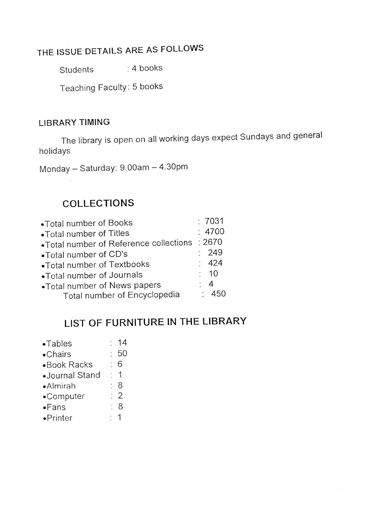# THE ISSUE DETAILS ARE AS FOLLOWS

Students : 4 books

Teaching Faculty: 5 books

## LIBRARY TIMING

The library is open on all working days expect Sundays and general holidays

Monday - Saturday: 9.00am - 4.30pm

## COLLECTIONS

| •Total number of Books                 | : 7031         |
|----------------------------------------|----------------|
| • Total number of Titles               | :4700          |
| •Total number of Reference collections | : 2670         |
| •Total number of CD's                  | : 249          |
| •Total number of Textbooks             | : 424          |
| •Total number of Journals              | : 10           |
| •Total number of News papers           | $\therefore$ 4 |
| Total number of Encyclopedia           | $\cdot$ 450    |

# LIST OF FURNITURE IN THE LIBRARY

| $\bullet$ Tables  | 14           |
|-------------------|--------------|
| $\bullet$ Chairs  | :50          |
| •Book Racks       | 6            |
| •Journal Stand    | $\mathbf{1}$ |
| •Almirah          | 8            |
| •Computer         | $\cdot$ 2    |
| •Fans             | 8            |
| $\bullet$ Printer |              |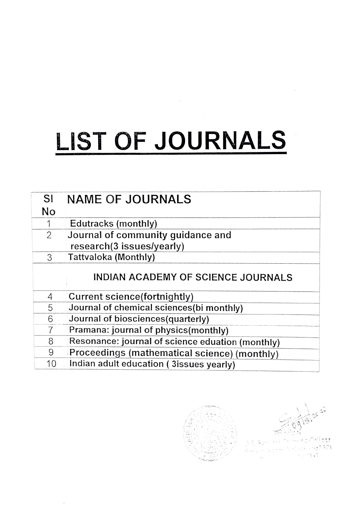# LIST OF JOURNALS

 $\tilde{\cal{E}}$ 

| <b>SI</b> | <b>NAME OF JOURNALS</b>                          |
|-----------|--------------------------------------------------|
| <b>No</b> |                                                  |
|           | Edutracks (monthly)                              |
| 2         | Journal of community guidance and                |
|           | research(3 issues/yearly)                        |
| 3         | Tattvaloka (Monthly)                             |
|           | <b>INDIAN ACADEMY OF SCIENCE JOURNALS</b>        |
| 4         | Current science (fortnightly)                    |
| 5         | Journal of chemical sciences(bi monthly)         |
| 6         | Journal of biosciences(quarterly)                |
|           | Pramana: journal of physics(monthly)             |
| 8         | Resonance: journal of science eduation (monthly) |
| 9         | Proceedings (mathematical science) (monthly)     |
| 10        | Indian adult education (3issues yearly)          |

 $\ddot{\phantom{a}}$ 

 $\omega_{\rm d}$  and  $57:$  $\overline{\mathcal{C}}$